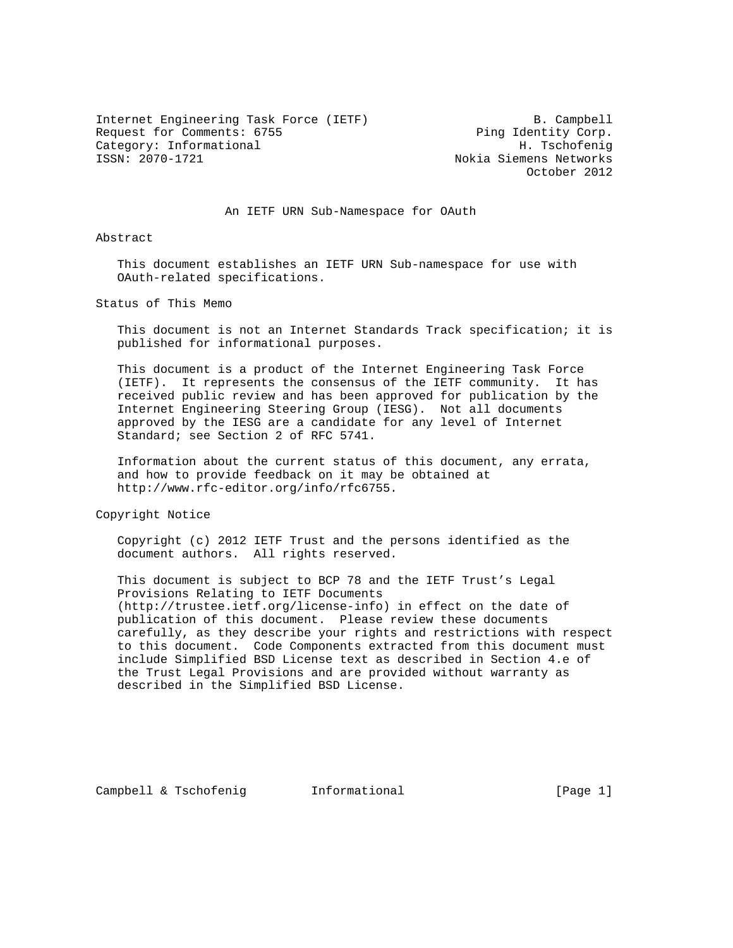Internet Engineering Task Force (IETF) B. Campbell Request for Comments: 6755 Ping Identity Corp. Category: Informational H. Tschofenig

Nokia Siemens Networks October 2012

## An IETF URN Sub-Namespace for OAuth

Abstract

 This document establishes an IETF URN Sub-namespace for use with OAuth-related specifications.

Status of This Memo

 This document is not an Internet Standards Track specification; it is published for informational purposes.

 This document is a product of the Internet Engineering Task Force (IETF). It represents the consensus of the IETF community. It has received public review and has been approved for publication by the Internet Engineering Steering Group (IESG). Not all documents approved by the IESG are a candidate for any level of Internet Standard; see Section 2 of RFC 5741.

 Information about the current status of this document, any errata, and how to provide feedback on it may be obtained at http://www.rfc-editor.org/info/rfc6755.

Copyright Notice

 Copyright (c) 2012 IETF Trust and the persons identified as the document authors. All rights reserved.

 This document is subject to BCP 78 and the IETF Trust's Legal Provisions Relating to IETF Documents (http://trustee.ietf.org/license-info) in effect on the date of publication of this document. Please review these documents carefully, as they describe your rights and restrictions with respect to this document. Code Components extracted from this document must include Simplified BSD License text as described in Section 4.e of the Trust Legal Provisions and are provided without warranty as described in the Simplified BSD License.

Campbell & Tschofenig informational [Page 1]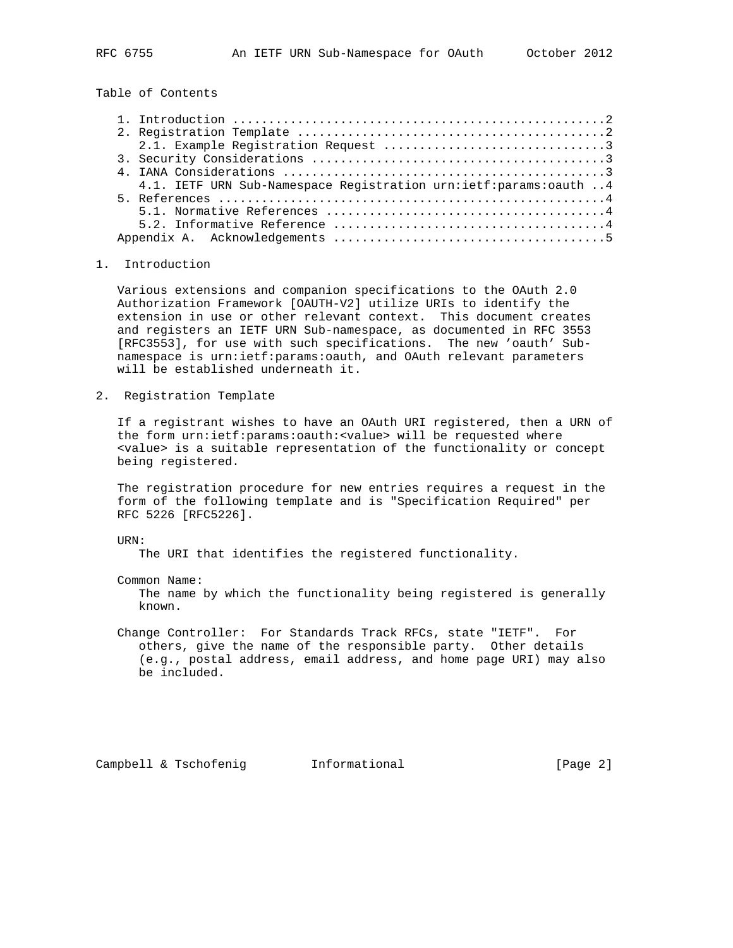Table of Contents

| 4.1. IETF URN Sub-Namespace Registration urn:ietf:params:oauth  4 |
|-------------------------------------------------------------------|
|                                                                   |
|                                                                   |
|                                                                   |
|                                                                   |

## 1. Introduction

 Various extensions and companion specifications to the OAuth 2.0 Authorization Framework [OAUTH-V2] utilize URIs to identify the extension in use or other relevant context. This document creates and registers an IETF URN Sub-namespace, as documented in RFC 3553 [RFC3553], for use with such specifications. The new 'oauth' Sub namespace is urn:ietf:params:oauth, and OAuth relevant parameters will be established underneath it.

2. Registration Template

 If a registrant wishes to have an OAuth URI registered, then a URN of the form urn:ietf:params:oauth:<value> will be requested where <value> is a suitable representation of the functionality or concept being registered.

 The registration procedure for new entries requires a request in the form of the following template and is "Specification Required" per RFC 5226 [RFC5226].

URN:

The URI that identifies the registered functionality.

Common Name:

 The name by which the functionality being registered is generally known.

 Change Controller: For Standards Track RFCs, state "IETF". For others, give the name of the responsible party. Other details (e.g., postal address, email address, and home page URI) may also be included.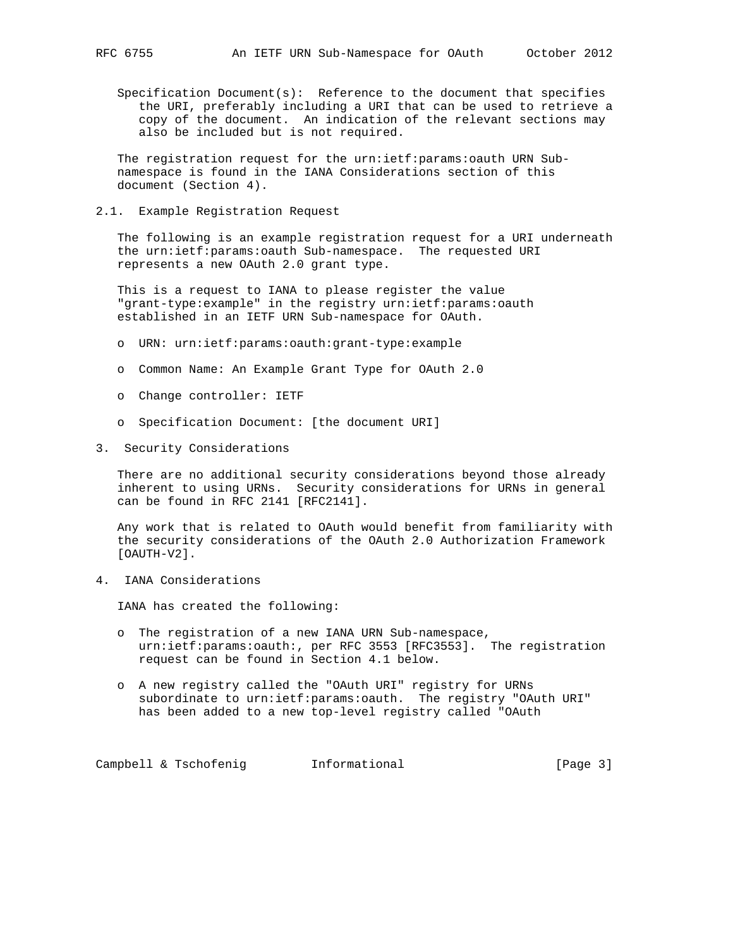Specification Document(s): Reference to the document that specifies the URI, preferably including a URI that can be used to retrieve a copy of the document. An indication of the relevant sections may also be included but is not required.

 The registration request for the urn:ietf:params:oauth URN Sub namespace is found in the IANA Considerations section of this document (Section 4).

2.1. Example Registration Request

 The following is an example registration request for a URI underneath the urn:ietf:params:oauth Sub-namespace. The requested URI represents a new OAuth 2.0 grant type.

 This is a request to IANA to please register the value "grant-type:example" in the registry urn:ietf:params:oauth established in an IETF URN Sub-namespace for OAuth.

- o URN: urn:ietf:params:oauth:grant-type:example
- o Common Name: An Example Grant Type for OAuth 2.0
- o Change controller: IETF
- o Specification Document: [the document URI]
- 3. Security Considerations

 There are no additional security considerations beyond those already inherent to using URNs. Security considerations for URNs in general can be found in RFC 2141 [RFC2141].

 Any work that is related to OAuth would benefit from familiarity with the security considerations of the OAuth 2.0 Authorization Framework [OAUTH-V2].

4. IANA Considerations

IANA has created the following:

- o The registration of a new IANA URN Sub-namespace, urn:ietf:params:oauth:, per RFC 3553 [RFC3553]. The registration request can be found in Section 4.1 below.
- o A new registry called the "OAuth URI" registry for URNs subordinate to urn:ietf:params:oauth. The registry "OAuth URI" has been added to a new top-level registry called "OAuth

Campbell & Tschofenig **Informational** [Page 3]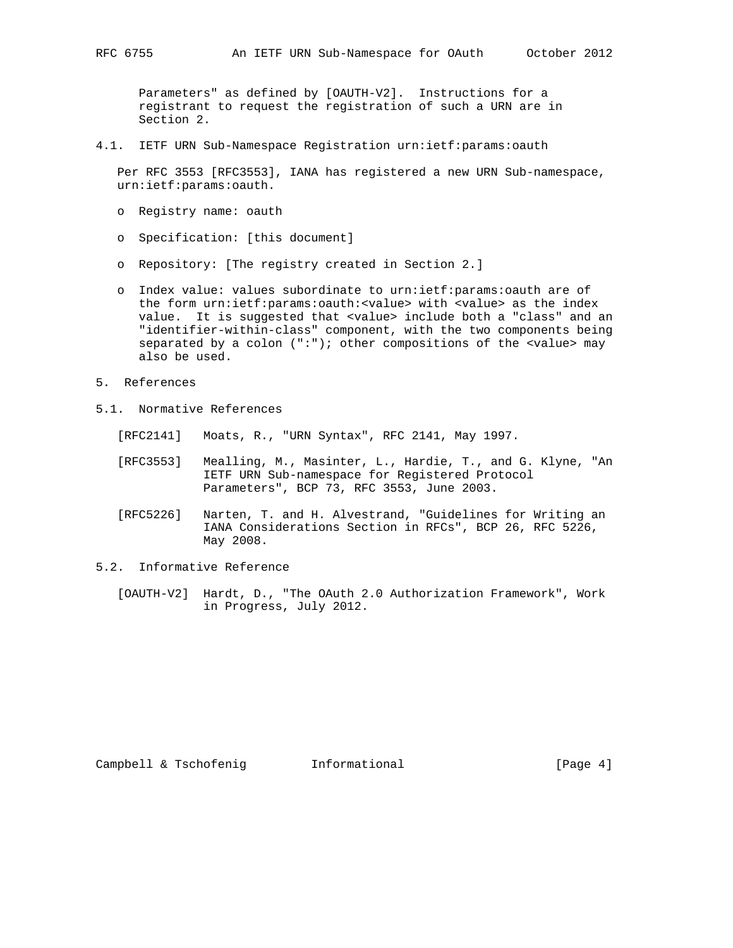Parameters" as defined by [OAUTH-V2]. Instructions for a registrant to request the registration of such a URN are in Section 2.

4.1. IETF URN Sub-Namespace Registration urn:ietf:params:oauth

 Per RFC 3553 [RFC3553], IANA has registered a new URN Sub-namespace, urn:ietf:params:oauth.

- o Registry name: oauth
- o Specification: [this document]
- o Repository: [The registry created in Section 2.]
- o Index value: values subordinate to urn:ietf:params:oauth are of the form urn:ietf:params:oauth:<value> with <value> as the index value. It is suggested that <value> include both a "class" and an "identifier-within-class" component, with the two components being separated by a colon (":"); other compositions of the <value> may also be used.
- 5. References
- 5.1. Normative References
	- [RFC2141] Moats, R., "URN Syntax", RFC 2141, May 1997.
	- [RFC3553] Mealling, M., Masinter, L., Hardie, T., and G. Klyne, "An IETF URN Sub-namespace for Registered Protocol Parameters", BCP 73, RFC 3553, June 2003.
	- [RFC5226] Narten, T. and H. Alvestrand, "Guidelines for Writing an IANA Considerations Section in RFCs", BCP 26, RFC 5226, May 2008.
- 5.2. Informative Reference
	- [OAUTH-V2] Hardt, D., "The OAuth 2.0 Authorization Framework", Work in Progress, July 2012.

Campbell & Tschofenig informational [Page 4]